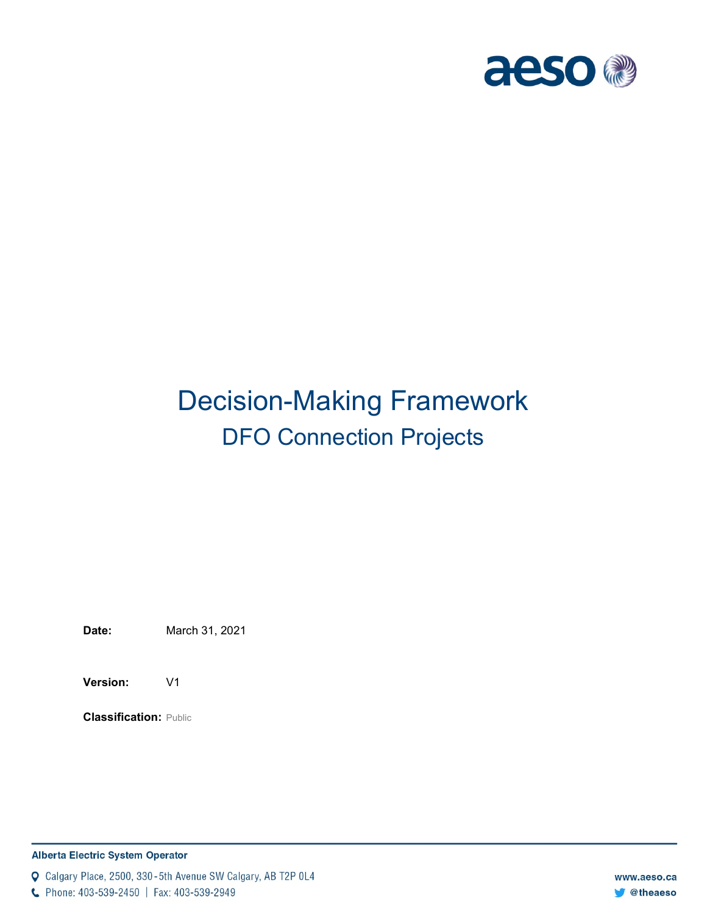

# Decision-Making Framework DFO Connection Projects

**Date:** March 31, 2021

**Version:** V1

**Classification:** Public

#### **Alberta Electric System Operator**

Q Calgary Place, 2500, 330-5th Avenue SW Calgary, AB T2P 0L4

C Phone: 403-539-2450 | Fax: 403-539-2949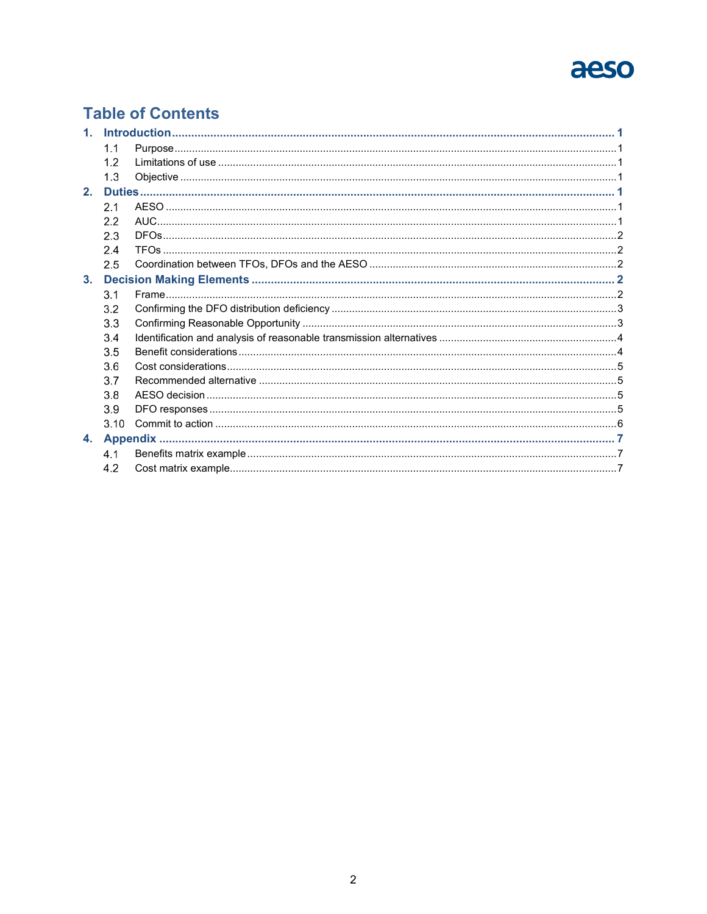# aeso

### **Table of Contents**

| 1 <sub>1</sub> |      |  |  |  |  |
|----------------|------|--|--|--|--|
|                | 1.1  |  |  |  |  |
|                | 1.2  |  |  |  |  |
|                | 1.3  |  |  |  |  |
| 2.             |      |  |  |  |  |
|                | 2.1  |  |  |  |  |
|                | 2.2  |  |  |  |  |
|                | 2.3  |  |  |  |  |
|                | 2.4  |  |  |  |  |
|                | 2.5  |  |  |  |  |
| 3 <sub>1</sub> |      |  |  |  |  |
|                | 3.1  |  |  |  |  |
|                | 3.2  |  |  |  |  |
|                | 3.3  |  |  |  |  |
|                | 3.4  |  |  |  |  |
|                | 3.5  |  |  |  |  |
|                | 3.6  |  |  |  |  |
|                | 3.7  |  |  |  |  |
|                | 3.8  |  |  |  |  |
|                | 3.9  |  |  |  |  |
|                | 3.10 |  |  |  |  |
| 4.             |      |  |  |  |  |
|                | 4.1  |  |  |  |  |
|                | 4.2  |  |  |  |  |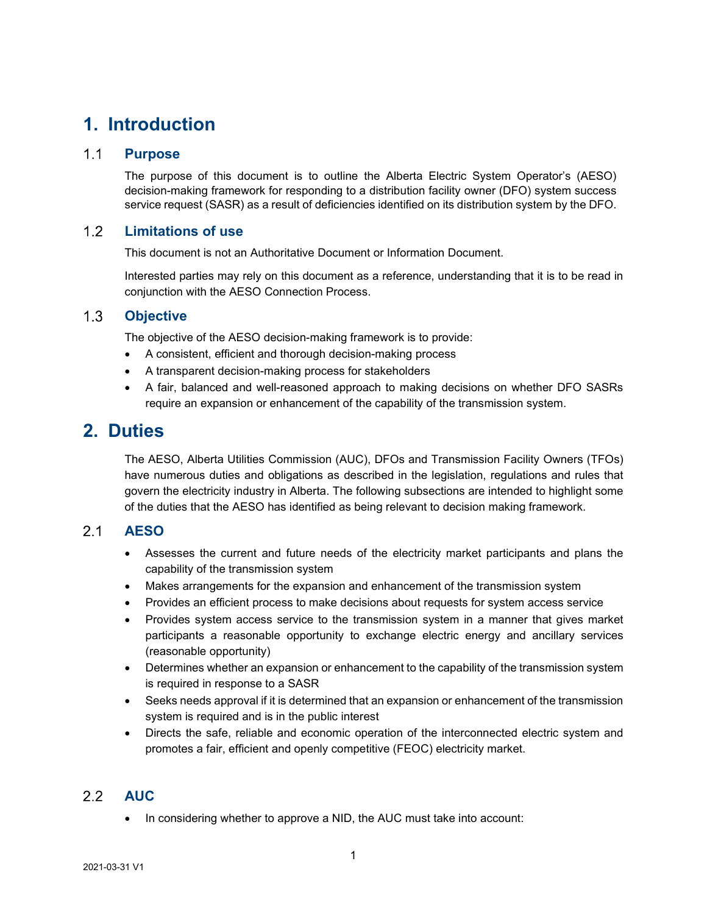### <span id="page-2-0"></span>**1. Introduction**

#### <span id="page-2-1"></span> $1.1$ **Purpose**

The purpose of this document is to outline the Alberta Electric System Operator's (AESO) decision-making framework for responding to a distribution facility owner (DFO) system success service request (SASR) as a result of deficiencies identified on its distribution system by the DFO.

#### <span id="page-2-2"></span> $1.2$ **Limitations of use**

This document is not an Authoritative Document or Information Document.

Interested parties may rely on this document as a reference, understanding that it is to be read in conjunction with the AESO Connection Process.

#### <span id="page-2-3"></span> $1.3$ **Objective**

The objective of the AESO decision-making framework is to provide:

- A consistent, efficient and thorough decision-making process
- A transparent decision-making process for stakeholders
- A fair, balanced and well-reasoned approach to making decisions on whether DFO SASRs require an expansion or enhancement of the capability of the transmission system.

### <span id="page-2-4"></span>**2. Duties**

The AESO, Alberta Utilities Commission (AUC), DFOs and Transmission Facility Owners (TFOs) have numerous duties and obligations as described in the legislation, regulations and rules that govern the electricity industry in Alberta. The following subsections are intended to highlight some of the duties that the AESO has identified as being relevant to decision making framework.

#### <span id="page-2-5"></span> $2.1$ **AESO**

- Assesses the current and future needs of the electricity market participants and plans the capability of the transmission system
- Makes arrangements for the expansion and enhancement of the transmission system
- Provides an efficient process to make decisions about requests for system access service
- Provides system access service to the transmission system in a manner that gives market participants a reasonable opportunity to exchange electric energy and ancillary services (reasonable opportunity)
- Determines whether an expansion or enhancement to the capability of the transmission system is required in response to a SASR
- Seeks needs approval if it is determined that an expansion or enhancement of the transmission system is required and is in the public interest
- Directs the safe, reliable and economic operation of the interconnected electric system and promotes a fair, efficient and openly competitive (FEOC) electricity market.

#### <span id="page-2-6"></span>2.2 **AUC**

• In considering whether to approve a NID, the AUC must take into account: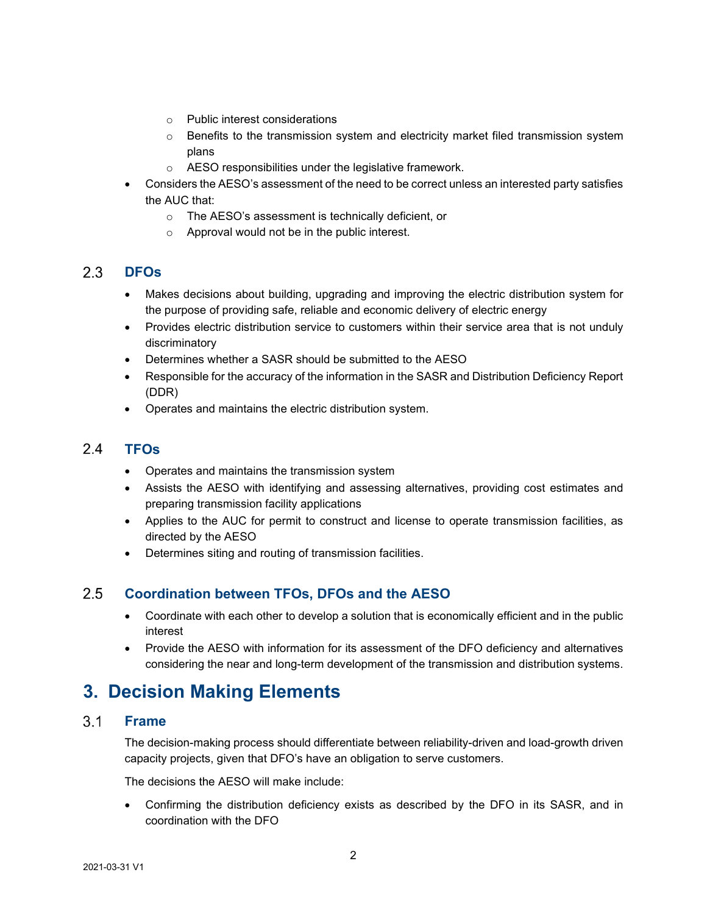- o Public interest considerations
- $\circ$  Benefits to the transmission system and electricity market filed transmission system plans
- o AESO responsibilities under the legislative framework.
- Considers the AESO's assessment of the need to be correct unless an interested party satisfies the AUC that:
	- o The AESO's assessment is technically deficient, or
	- o Approval would not be in the public interest.

#### <span id="page-3-0"></span> $2.3$ **DFOs**

- Makes decisions about building, upgrading and improving the electric distribution system for the purpose of providing safe, reliable and economic delivery of electric energy
- Provides electric distribution service to customers within their service area that is not unduly discriminatory
- Determines whether a SASR should be submitted to the AESO
- Responsible for the accuracy of the information in the SASR and Distribution Deficiency Report (DDR)
- Operates and maintains the electric distribution system.

#### <span id="page-3-1"></span> $2.4$ **TFOs**

- Operates and maintains the transmission system
- Assists the AESO with identifying and assessing alternatives, providing cost estimates and preparing transmission facility applications
- Applies to the AUC for permit to construct and license to operate transmission facilities, as directed by the AESO
- Determines siting and routing of transmission facilities.

#### <span id="page-3-2"></span> $2.5$ **Coordination between TFOs, DFOs and the AESO**

- Coordinate with each other to develop a solution that is economically efficient and in the public interest
- Provide the AESO with information for its assessment of the DFO deficiency and alternatives considering the near and long-term development of the transmission and distribution systems.

### <span id="page-3-3"></span>**3. Decision Making Elements**

#### <span id="page-3-4"></span> $3.1$ **Frame**

The decision-making process should differentiate between reliability-driven and load-growth driven capacity projects, given that DFO's have an obligation to serve customers.

The decisions the AESO will make include:

• Confirming the distribution deficiency exists as described by the DFO in its SASR, and in coordination with the DFO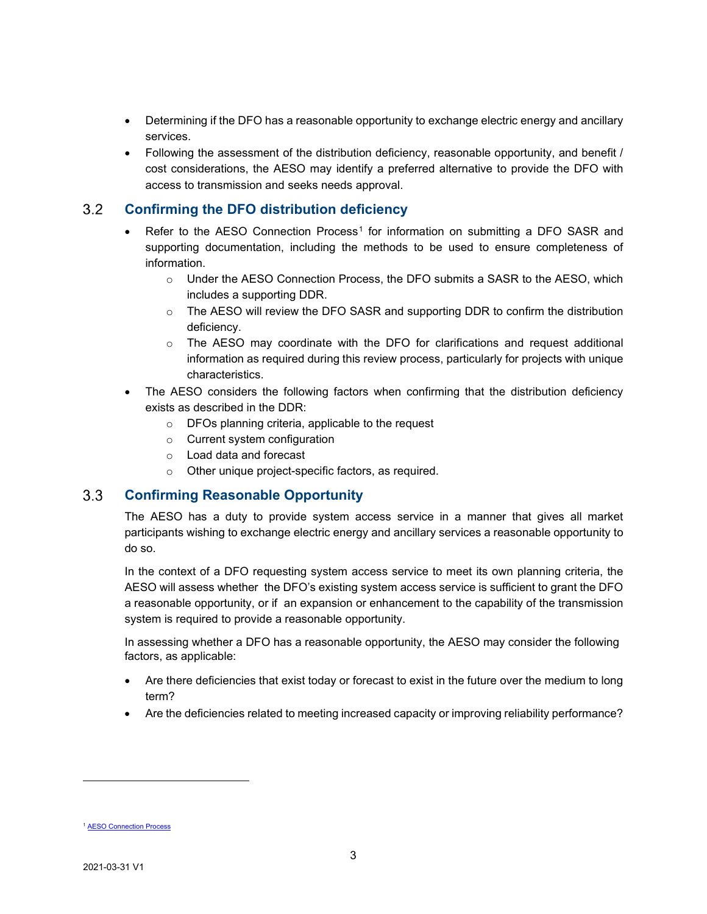- Determining if the DFO has a reasonable opportunity to exchange electric energy and ancillary services.
- Following the assessment of the distribution deficiency, reasonable opportunity, and benefit / cost considerations, the AESO may identify a preferred alternative to provide the DFO with access to transmission and seeks needs approval.

#### <span id="page-4-0"></span> $3.2$ **Confirming the DFO distribution deficiency**

- Refer to the AESO Connection Process<sup>[1](#page-4-2)</sup> for information on submitting a DFO SASR and supporting documentation, including the methods to be used to ensure completeness of information.
	- o Under the AESO Connection Process, the DFO submits a SASR to the AESO, which includes a supporting DDR.
	- o The AESO will review the DFO SASR and supporting DDR to confirm the distribution deficiency.
	- $\circ$  The AESO may coordinate with the DFO for clarifications and request additional information as required during this review process, particularly for projects with unique characteristics.
- The AESO considers the following factors when confirming that the distribution deficiency exists as described in the DDR:
	- o DFOs planning criteria, applicable to the request
	- o Current system configuration
	- o Load data and forecast
	- o Other unique project-specific factors, as required.

#### <span id="page-4-1"></span> $3.3$ **Confirming Reasonable Opportunity**

The AESO has a duty to provide system access service in a manner that gives all market participants wishing to exchange electric energy and ancillary services a reasonable opportunity to do so.

In the context of a DFO requesting system access service to meet its own planning criteria, the AESO will assess whether the DFO's existing system access service is sufficient to grant the DFO a reasonable opportunity, or if an expansion or enhancement to the capability of the transmission system is required to provide a reasonable opportunity.

In assessing whether a DFO has a reasonable opportunity, the AESO may consider the following factors, as applicable:

- Are there deficiencies that exist today or forecast to exist in the future over the medium to long term?
- Are the deficiencies related to meeting increased capacity or improving reliability performance?

<span id="page-4-2"></span>**[AESO Connection Process](https://www.aeso.ca/grid/connecting-to-the-grid/)**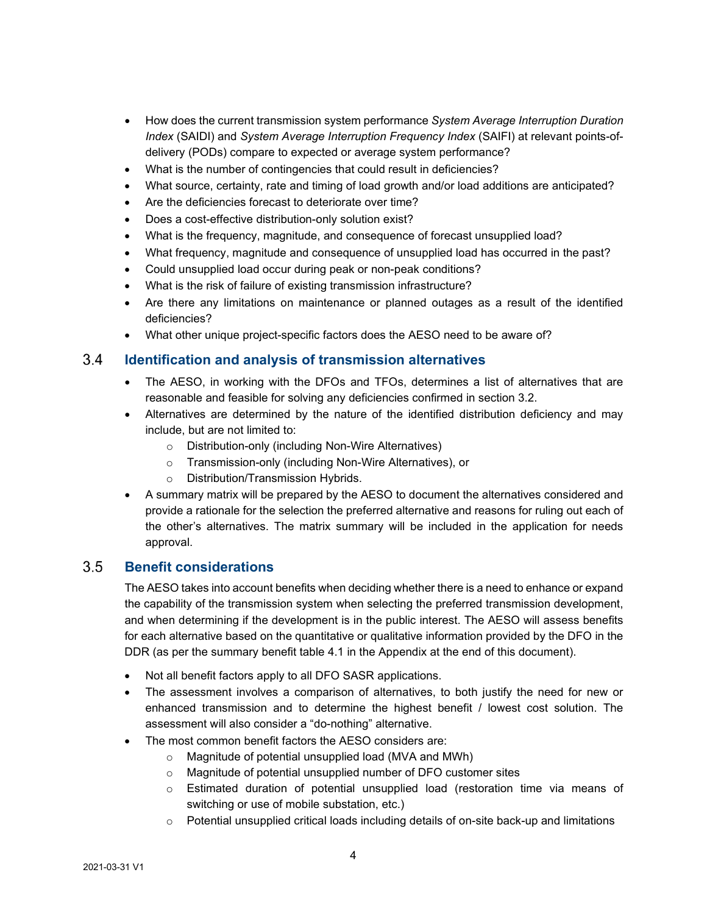- How does the current transmission system performance *System Average Interruption Duration Index* (SAIDI) and *System Average Interruption Frequency Index* (SAIFI) at relevant points-ofdelivery (PODs) compare to expected or average system performance?
- What is the number of contingencies that could result in deficiencies?
- What source, certainty, rate and timing of load growth and/or load additions are anticipated?
- Are the deficiencies forecast to deteriorate over time?
- Does a cost-effective distribution-only solution exist?
- What is the frequency, magnitude, and consequence of forecast unsupplied load?
- What frequency, magnitude and consequence of unsupplied load has occurred in the past?
- Could unsupplied load occur during peak or non-peak conditions?
- What is the risk of failure of existing transmission infrastructure?
- Are there any limitations on maintenance or planned outages as a result of the identified deficiencies?
- What other unique project-specific factors does the AESO need to be aware of?

#### <span id="page-5-0"></span> $3.4$ **Identification and analysis of transmission alternatives**

- The AESO, in working with the DFOs and TFOs, determines a list of alternatives that are reasonable and feasible for solving any deficiencies confirmed in section 3.2.
- Alternatives are determined by the nature of the identified distribution deficiency and may include, but are not limited to:
	- o Distribution-only (including Non-Wire Alternatives)
	- o Transmission-only (including Non-Wire Alternatives), or
	- o Distribution/Transmission Hybrids.
- A summary matrix will be prepared by the AESO to document the alternatives considered and provide a rationale for the selection the preferred alternative and reasons for ruling out each of the other's alternatives. The matrix summary will be included in the application for needs approval.

#### <span id="page-5-1"></span> $3.5$ **Benefit considerations**

The AESO takes into account benefits when deciding whether there is a need to enhance or expand the capability of the transmission system when selecting the preferred transmission development, and when determining if the development is in the public interest. The AESO will assess benefits for each alternative based on the quantitative or qualitative information provided by the DFO in the DDR (as per the summary benefit table 4.1 in the Appendix at the end of this document).

- Not all benefit factors apply to all DFO SASR applications.
- The assessment involves a comparison of alternatives, to both justify the need for new or enhanced transmission and to determine the highest benefit / lowest cost solution. The assessment will also consider a "do-nothing" alternative.
- The most common benefit factors the AESO considers are:
	- o Magnitude of potential unsupplied load (MVA and MWh)
	- o Magnitude of potential unsupplied number of DFO customer sites
	- o Estimated duration of potential unsupplied load (restoration time via means of switching or use of mobile substation, etc.)
	- o Potential unsupplied critical loads including details of on-site back-up and limitations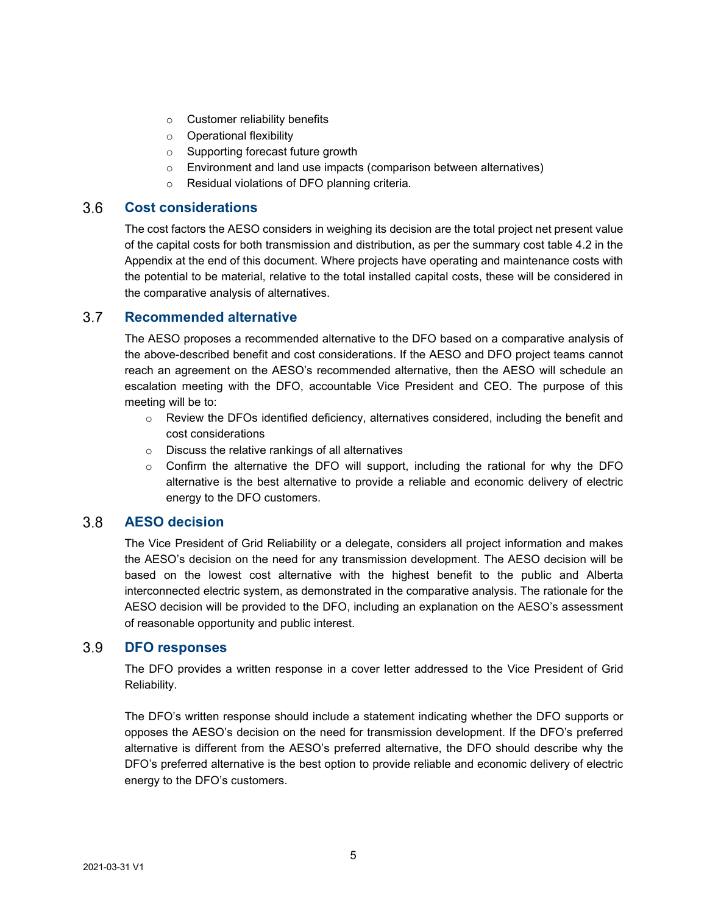- o Customer reliability benefits
- o Operational flexibility
- o Supporting forecast future growth
- o Environment and land use impacts (comparison between alternatives)
- o Residual violations of DFO planning criteria.

#### <span id="page-6-0"></span> $3.6$ **Cost considerations**

The cost factors the AESO considers in weighing its decision are the total project net present value of the capital costs for both transmission and distribution, as per the summary cost table 4.2 in the Appendix at the end of this document. Where projects have operating and maintenance costs with the potential to be material, relative to the total installed capital costs, these will be considered in the comparative analysis of alternatives.

#### <span id="page-6-1"></span> $3.7$ **Recommended alternative**

The AESO proposes a recommended alternative to the DFO based on a comparative analysis of the above-described benefit and cost considerations. If the AESO and DFO project teams cannot reach an agreement on the AESO's recommended alternative, then the AESO will schedule an escalation meeting with the DFO, accountable Vice President and CEO. The purpose of this meeting will be to:

- o Review the DFOs identified deficiency, alternatives considered, including the benefit and cost considerations
- o Discuss the relative rankings of all alternatives
- $\circ$  Confirm the alternative the DFO will support, including the rational for why the DFO alternative is the best alternative to provide a reliable and economic delivery of electric energy to the DFO customers.

#### <span id="page-6-2"></span> $3.8$ **AESO decision**

The Vice President of Grid Reliability or a delegate, considers all project information and makes the AESO's decision on the need for any transmission development. The AESO decision will be based on the lowest cost alternative with the highest benefit to the public and Alberta interconnected electric system, as demonstrated in the comparative analysis. The rationale for the AESO decision will be provided to the DFO, including an explanation on the AESO's assessment of reasonable opportunity and public interest.

#### <span id="page-6-3"></span> $3.9$ **DFO responses**

The DFO provides a written response in a cover letter addressed to the Vice President of Grid Reliability.

The DFO's written response should include a statement indicating whether the DFO supports or opposes the AESO's decision on the need for transmission development. If the DFO's preferred alternative is different from the AESO's preferred alternative, the DFO should describe why the DFO's preferred alternative is the best option to provide reliable and economic delivery of electric energy to the DFO's customers.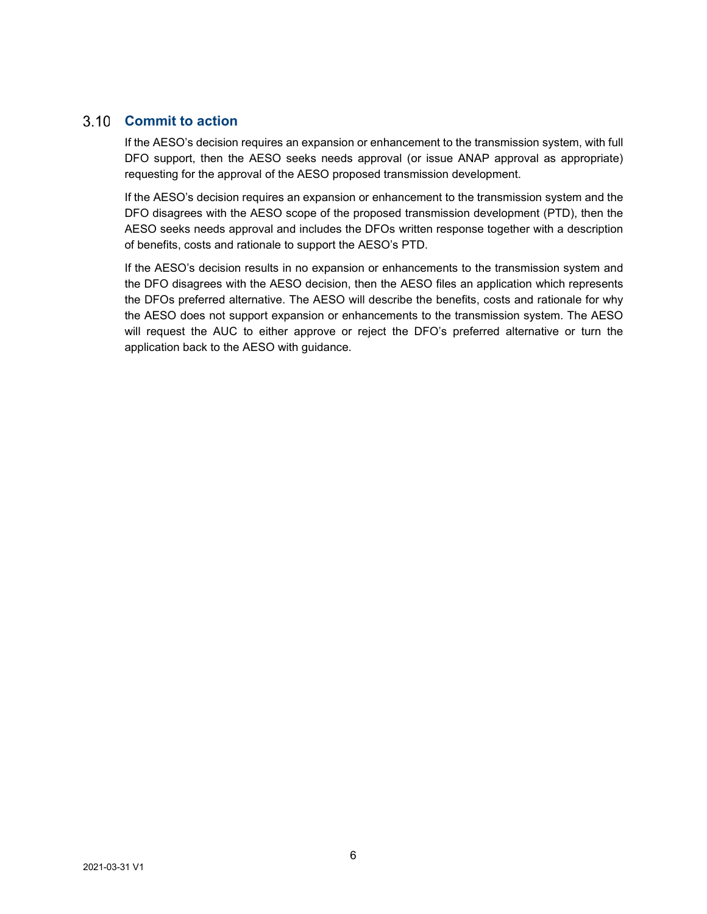### <span id="page-7-0"></span>**Commit to action**

If the AESO's decision requires an expansion or enhancement to the transmission system, with full DFO support, then the AESO seeks needs approval (or issue ANAP approval as appropriate) requesting for the approval of the AESO proposed transmission development.

If the AESO's decision requires an expansion or enhancement to the transmission system and the DFO disagrees with the AESO scope of the proposed transmission development (PTD), then the AESO seeks needs approval and includes the DFOs written response together with a description of benefits, costs and rationale to support the AESO's PTD.

If the AESO's decision results in no expansion or enhancements to the transmission system and the DFO disagrees with the AESO decision, then the AESO files an application which represents the DFOs preferred alternative. The AESO will describe the benefits, costs and rationale for why the AESO does not support expansion or enhancements to the transmission system. The AESO will request the AUC to either approve or reject the DFO's preferred alternative or turn the application back to the AESO with guidance.